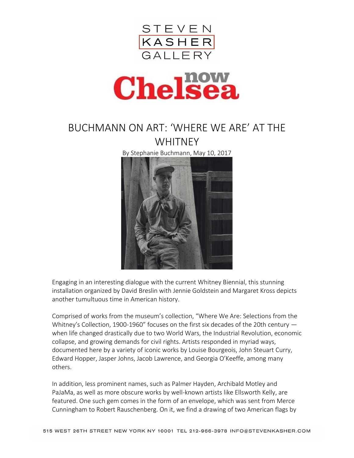



## BUCHMANN ON ART: 'WHERE WE ARE' AT THE **WHITNEY**

By Stephanie Buchmann, May 10, 2017



Engaging in an interesting dialogue with the current Whitney Biennial, this stunning installation organized by David Breslin with Jennie Goldstein and Margaret Kross depicts another tumultuous time in American history.

Comprised of works from the museum's collection, "Where We Are: Selections from the Whitney's Collection, 1900-1960" focuses on the first six decades of the 20th century when life changed drastically due to two World Wars, the Industrial Revolution, economic collapse, and growing demands for civil rights. Artists responded in myriad ways, documented here by a variety of iconic works by Louise Bourgeois, John Steuart Curry, Edward Hopper, Jasper Johns, Jacob Lawrence, and Georgia O'Keeffe, among many others.

In addition, less prominent names, such as Palmer Hayden, Archibald Motley and PaJaMa, as well as more obscure works by well-known artists like Ellsworth Kelly, are featured. One such gem comes in the form of an envelope, which was sent from Merce Cunningham to Robert Rauschenberg. On it, we find a drawing of two American flags by